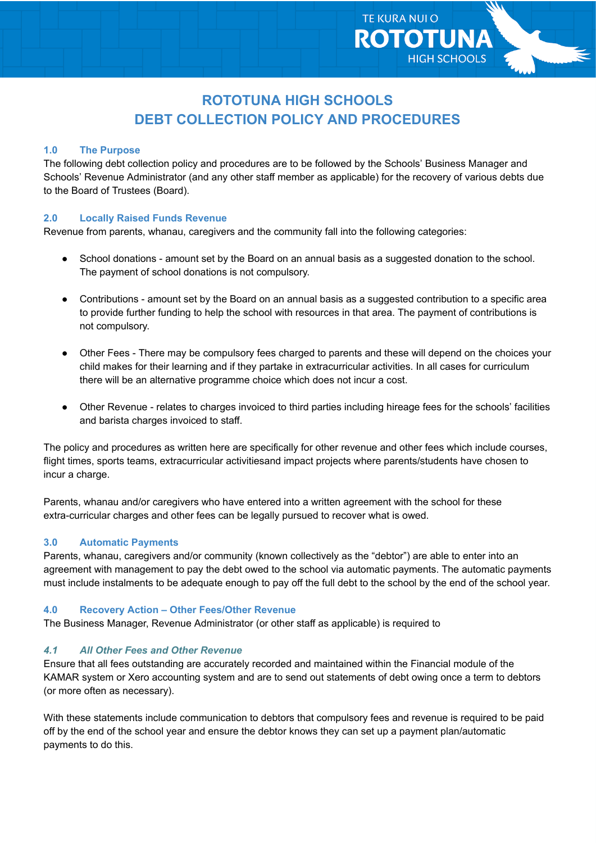# **ROTOTUNA HIGH SCHOOLS DEBT COLLECTION POLICY AND PROCEDURES**

**TE KURA NUI O** 

**ROTOTUNA** 

**HIGH SCHOOLS** 

## **1.0 The Purpose**

The following debt collection policy and procedures are to be followed by the Schools' Business Manager and Schools' Revenue Administrator (and any other staff member as applicable) for the recovery of various debts due to the Board of Trustees (Board).

## **2.0 Locally Raised Funds Revenue**

Revenue from parents, whanau, caregivers and the community fall into the following categories:

- School donations amount set by the Board on an annual basis as a suggested donation to the school. The payment of school donations is not compulsory.
- Contributions amount set by the Board on an annual basis as a suggested contribution to a specific area to provide further funding to help the school with resources in that area. The payment of contributions is not compulsory.
- Other Fees There may be compulsory fees charged to parents and these will depend on the choices your child makes for their learning and if they partake in extracurricular activities. In all cases for curriculum there will be an alternative programme choice which does not incur a cost.
- Other Revenue relates to charges invoiced to third parties including hireage fees for the schools' facilities and barista charges invoiced to staff.

The policy and procedures as written here are specifically for other revenue and other fees which include courses, flight times, sports teams, extracurricular activitiesand impact projects where parents/students have chosen to incur a charge.

Parents, whanau and/or caregivers who have entered into a written agreement with the school for these extra-curricular charges and other fees can be legally pursued to recover what is owed.

### **3.0 Automatic Payments**

Parents, whanau, caregivers and/or community (known collectively as the "debtor") are able to enter into an agreement with management to pay the debt owed to the school via automatic payments. The automatic payments must include instalments to be adequate enough to pay off the full debt to the school by the end of the school year.

### **4.0 Recovery Action – Other Fees/Other Revenue**

The Business Manager, Revenue Administrator (or other staff as applicable) is required to

## *4.1 All Other Fees and Other Revenue*

Ensure that all fees outstanding are accurately recorded and maintained within the Financial module of the KAMAR system or Xero accounting system and are to send out statements of debt owing once a term to debtors (or more often as necessary).

With these statements include communication to debtors that compulsory fees and revenue is required to be paid off by the end of the school year and ensure the debtor knows they can set up a payment plan/automatic payments to do this.